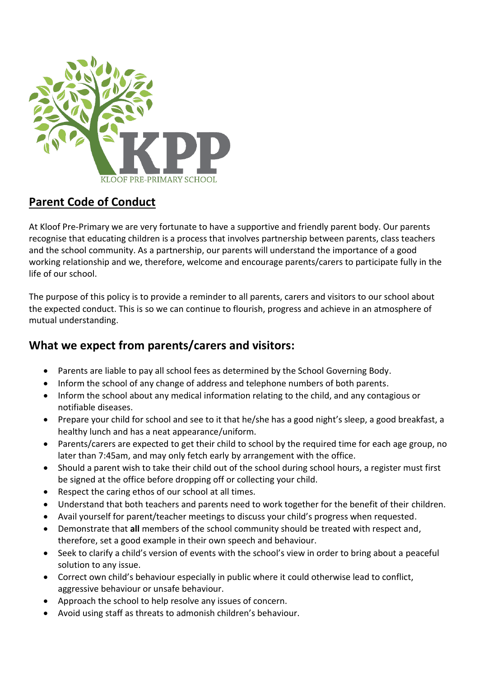

## **Parent Code of Conduct**

At Kloof Pre-Primary we are very fortunate to have a supportive and friendly parent body. Our parents recognise that educating children is a process that involves partnership between parents, class teachers and the school community. As a partnership, our parents will understand the importance of a good working relationship and we, therefore, welcome and encourage parents/carers to participate fully in the life of our school.

The purpose of this policy is to provide a reminder to all parents, carers and visitors to our school about the expected conduct. This is so we can continue to flourish, progress and achieve in an atmosphere of mutual understanding.

## **What we expect from parents/carers and visitors:**

- Parents are liable to pay all school fees as determined by the School Governing Body.
- Inform the school of any change of address and telephone numbers of both parents.
- Inform the school about any medical information relating to the child, and any contagious or notifiable diseases.
- Prepare your child for school and see to it that he/she has a good night's sleep, a good breakfast, a healthy lunch and has a neat appearance/uniform.
- Parents/carers are expected to get their child to school by the required time for each age group, no later than 7:45am, and may only fetch early by arrangement with the office.
- Should a parent wish to take their child out of the school during school hours, a register must first be signed at the office before dropping off or collecting your child.
- Respect the caring ethos of our school at all times.
- Understand that both teachers and parents need to work together for the benefit of their children.
- Avail yourself for parent/teacher meetings to discuss your child's progress when requested.
- Demonstrate that **all** members of the school community should be treated with respect and, therefore, set a good example in their own speech and behaviour.
- Seek to clarify a child's version of events with the school's view in order to bring about a peaceful solution to any issue.
- Correct own child's behaviour especially in public where it could otherwise lead to conflict, aggressive behaviour or unsafe behaviour.
- Approach the school to help resolve any issues of concern.
- Avoid using staff as threats to admonish children's behaviour.